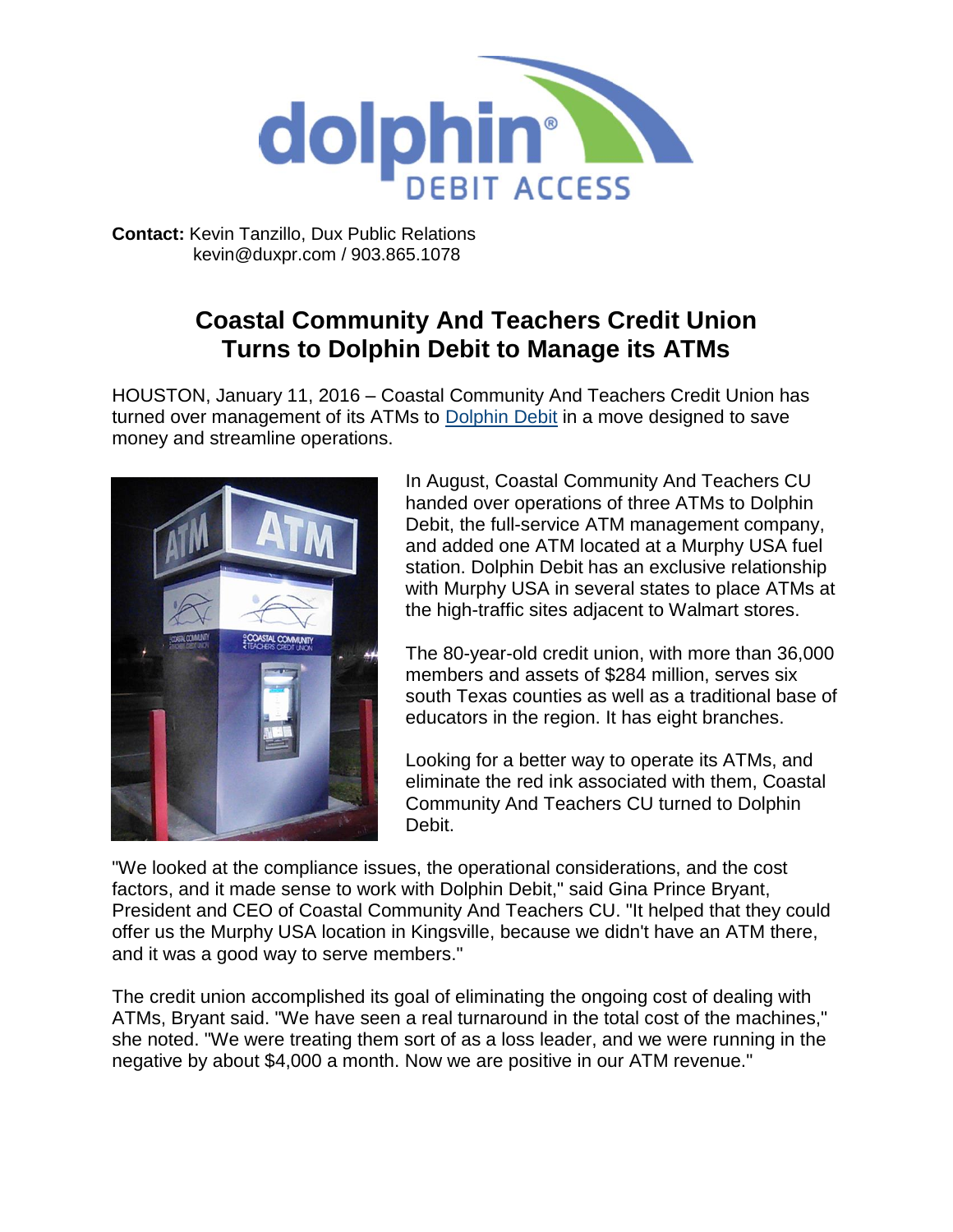

**Contact:** Kevin Tanzillo, Dux Public Relations kevin@duxpr.com / 903.865.1078

## **Coastal Community And Teachers Credit Union Turns to Dolphin Debit to Manage its ATMs**

HOUSTON, January 11, 2016 – Coastal Community And Teachers Credit Union has turned over management of its ATMs to [Dolphin Debit](http://www.dolphindebit.com/) in a move designed to save money and streamline operations.



In August, Coastal Community And Teachers CU handed over operations of three ATMs to Dolphin Debit, the full-service ATM management company, and added one ATM located at a Murphy USA fuel station. Dolphin Debit has an exclusive relationship with Murphy USA in several states to place ATMs at the high-traffic sites adjacent to Walmart stores.

The 80-year-old credit union, with more than 36,000 members and assets of \$284 million, serves six south Texas counties as well as a traditional base of educators in the region. It has eight branches.

Looking for a better way to operate its ATMs, and eliminate the red ink associated with them, Coastal Community And Teachers CU turned to Dolphin Debit.

"We looked at the compliance issues, the operational considerations, and the cost factors, and it made sense to work with Dolphin Debit," said Gina Prince Bryant, President and CEO of Coastal Community And Teachers CU. "It helped that they could offer us the Murphy USA location in Kingsville, because we didn't have an ATM there, and it was a good way to serve members."

The credit union accomplished its goal of eliminating the ongoing cost of dealing with ATMs, Bryant said. "We have seen a real turnaround in the total cost of the machines," she noted. "We were treating them sort of as a loss leader, and we were running in the negative by about \$4,000 a month. Now we are positive in our ATM revenue."